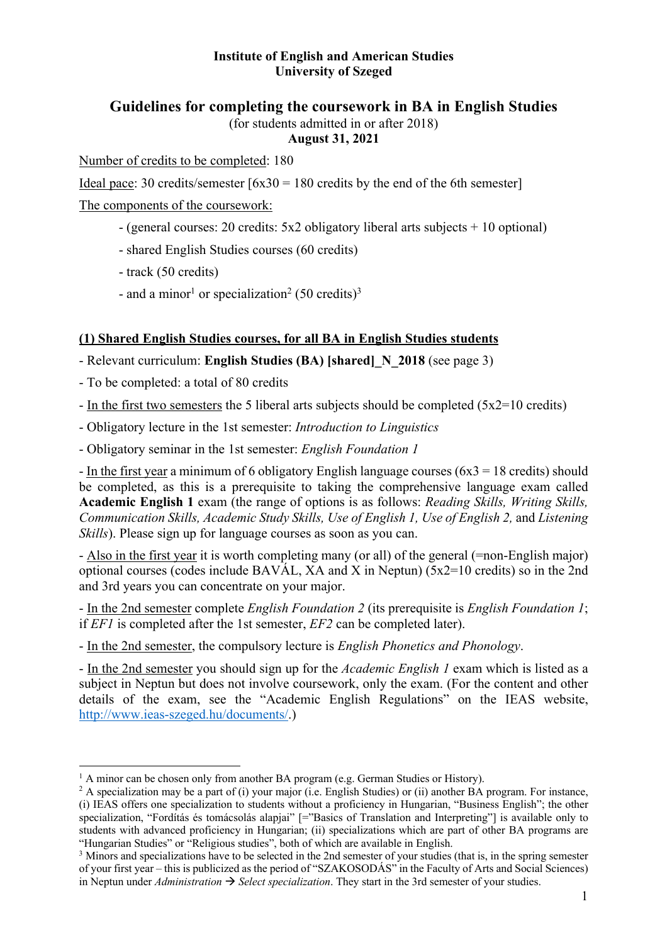## **Institute of English and American Studies University of Szeged**

# **Guidelines for completing the coursework in BA in English Studies**

(for students admitted in or after 2018)

## **August 31, 2021**

Number of credits to be completed: 180

Ideal pace: 30 credits/semester  $[6x30 = 180$  credits by the end of the 6th semester

The components of the coursework:

- (general courses: 20 credits: 5x2 obligatory liberal arts subjects + 10 optional)
- shared English Studies courses (60 credits)
- track (50 credits)
- and a minor<sup>1</sup> or specialization<sup>2</sup> (50 credits)<sup>3</sup>

## **(1) Shared English Studies courses, for all BA in English Studies students**

- Relevant curriculum: **English Studies (BA) [shared]\_N\_2018** (see page 3)
- To be completed: a total of 80 credits
- In the first two semesters the 5 liberal arts subjects should be completed  $(5x2=10 \text{ credits})$
- Obligatory lecture in the 1st semester: *Introduction to Linguistics*
- Obligatory seminar in the 1st semester: *English Foundation 1*

- In the first year a minimum of 6 obligatory English language courses  $(6x3 = 18 \text{ credits})$  should be completed, as this is a prerequisite to taking the comprehensive language exam called **Academic English 1** exam (the range of options is as follows: *Reading Skills, Writing Skills, Communication Skills, Academic Study Skills, Use of English 1, Use of English 2, and Listening Skills*). Please sign up for language courses as soon as you can.

- Also in the first year it is worth completing many (or all) of the general (=non-English major) optional courses (codes include BAVÁL, XA and X in Neptun) ( $5x2=10$  credits) so in the 2nd and 3rd years you can concentrate on your major.

- In the 2nd semester complete *English Foundation 2* (its prerequisite is *English Foundation 1*; if *EF1* is completed after the 1st semester, *EF2* can be completed later).

- In the 2nd semester, the compulsory lecture is *English Phonetics and Phonology*.

<sup>-</sup> In the 2nd semester you should sign up for the *Academic English 1* exam which is listed as a subject in Neptun but does not involve coursework, only the exam. (For the content and other details of the exam, see the "Academic English Regulations" on the IEAS website, http://www.ieas-szeged.hu/documents/.)

 $<sup>1</sup>$  A minor can be chosen only from another BA program (e.g. German Studies or History).</sup>

<sup>&</sup>lt;sup>2</sup> A specialization may be a part of (i) your major (i.e. English Studies) or (ii) another BA program. For instance, (i) IEAS offers one specialization to students without a proficiency in Hungarian, "Business English"; the other specialization, "Fordítás és tomácsolás alapjai" [="Basics of Translation and Interpreting"] is available only to students with advanced proficiency in Hungarian; (ii) specializations which are part of other BA programs are "Hungarian Studies" or "Religious studies", both of which are available in English.

<sup>&</sup>lt;sup>3</sup> Minors and specializations have to be selected in the 2nd semester of your studies (that is, in the spring semester of your first year – this is publicized as the period of "SZAKOSODÁS" in the Faculty of Arts and Social Sciences) in Neptun under *Administration*  $\rightarrow$  *Select specialization*. They start in the 3rd semester of your studies.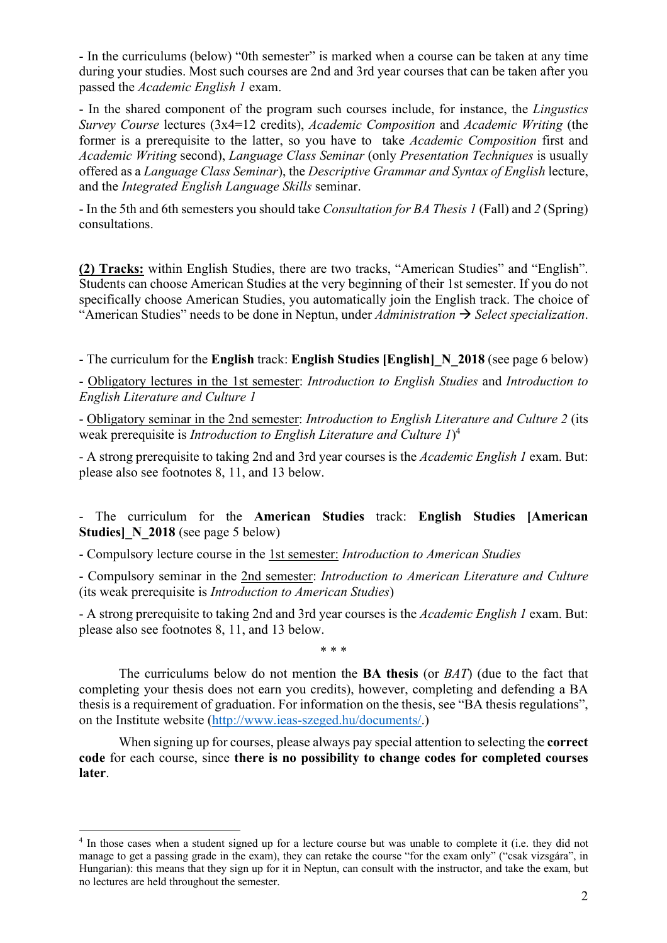- In the curriculums (below) "0th semester" is marked when a course can be taken at any time during your studies. Most such courses are 2nd and 3rd year courses that can be taken after you passed the *Academic English 1* exam.

- In the shared component of the program such courses include, for instance, the *Lingustics Survey Course* lectures (3x4=12 credits), *Academic Composition* and *Academic Writing* (the former is a prerequisite to the latter, so you have to take *Academic Composition* first and *Academic Writing* second), *Language Class Seminar* (only *Presentation Techniques* is usually offered as a *Language Class Seminar*), the *Descriptive Grammar and Syntax of English* lecture, and the *Integrated English Language Skills* seminar.

- In the 5th and 6th semesters you should take *Consultation for BA Thesis 1* (Fall) and *2* (Spring) consultations.

**(2) Tracks:** within English Studies, there are two tracks, "American Studies" and "English". Students can choose American Studies at the very beginning of their 1st semester. If you do not specifically choose American Studies, you automatically join the English track. The choice of "American Studies" needs to be done in Neptun, under *Administration*  $\rightarrow$  *Select specialization*.

- The curriculum for the **English** track: **English Studies [English]\_N\_2018** (see page 6 below)

- Obligatory lectures in the 1st semester: *Introduction to English Studies* and *Introduction to English Literature and Culture 1*

- Obligatory seminar in the 2nd semester: *Introduction to English Literature and Culture 2* (its weak prerequisite is *Introduction to English Literature and Culture 1*) 4

- A strong prerequisite to taking 2nd and 3rd year courses is the *Academic English 1* exam. But: please also see footnotes 8, 11, and 13 below.

- The curriculum for the **American Studies** track: **English Studies [American Studies** N 2018 (see page 5 below)

- Compulsory lecture course in the 1st semester: *Introduction to American Studies*

- Compulsory seminar in the 2nd semester: *Introduction to American Literature and Culture* (its weak prerequisite is *Introduction to American Studies*)

- A strong prerequisite to taking 2nd and 3rd year courses is the *Academic English 1* exam. But: please also see footnotes 8, 11, and 13 below.

\* \* \*

The curriculums below do not mention the **BA thesis** (or *BAT*) (due to the fact that completing your thesis does not earn you credits), however, completing and defending a BA thesis is a requirement of graduation. For information on the thesis, see "BA thesis regulations", on the Institute website (http://www.ieas-szeged.hu/documents/.)

When signing up for courses, please always pay special attention to selecting the **correct code** for each course, since **there is no possibility to change codes for completed courses later**.

<sup>&</sup>lt;sup>4</sup> In those cases when a student signed up for a lecture course but was unable to complete it (i.e. they did not manage to get a passing grade in the exam), they can retake the course "for the exam only" ("csak vizsgára", in Hungarian): this means that they sign up for it in Neptun, can consult with the instructor, and take the exam, but no lectures are held throughout the semester.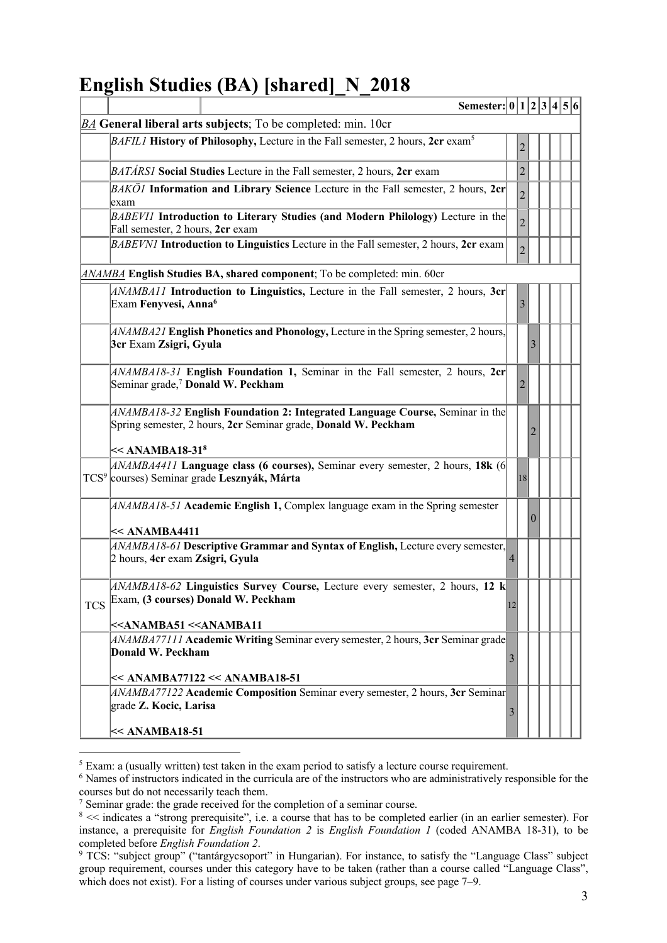# **English Studies (BA) [shared]\_N\_2018**

|                                                                | Semester: 0 1 2 3 4 5 6                                                                                                                                                          |                |                |  |  |  |  |  |
|----------------------------------------------------------------|----------------------------------------------------------------------------------------------------------------------------------------------------------------------------------|----------------|----------------|--|--|--|--|--|
| $BA$ General liberal arts subjects; To be completed: min. 10cr |                                                                                                                                                                                  |                |                |  |  |  |  |  |
|                                                                | <i>BAFIL1</i> History of Philosophy, Lecture in the Fall semester, 2 hours, 2cr exam <sup>5</sup>                                                                                |                | 2              |  |  |  |  |  |
|                                                                | <i>BATÁRSI</i> Social Studies Lecture in the Fall semester, 2 hours, 2cr exam                                                                                                    |                | $\overline{2}$ |  |  |  |  |  |
|                                                                | $BAK\ddot{O}I$ Information and Library Science Lecture in the Fall semester, 2 hours, 2cr<br>exam                                                                                |                | $\overline{2}$ |  |  |  |  |  |
|                                                                | BABEVII Introduction to Literary Studies (and Modern Philology) Lecture in the<br>Fall semester, 2 hours, 2cr exam                                                               |                | $\overline{2}$ |  |  |  |  |  |
|                                                                | BABEVNI Introduction to Linguistics Lecture in the Fall semester, 2 hours, 2cr exam                                                                                              |                | $\overline{2}$ |  |  |  |  |  |
|                                                                | <b>ANAMBA</b> English Studies BA, shared component; To be completed: min. 60cr                                                                                                   |                |                |  |  |  |  |  |
|                                                                | ANAMBA11 Introduction to Linguistics, Lecture in the Fall semester, 2 hours, 3cr<br>Exam Fenyvesi, Anna <sup>6</sup>                                                             |                | 3              |  |  |  |  |  |
|                                                                | $ANAMBA21$ English Phonetics and Phonology, Lecture in the Spring semester, 2 hours,<br>3cr Exam Zsigri, Gyula                                                                   |                |                |  |  |  |  |  |
|                                                                | $ANAMBA18-31$ English Foundation 1, Seminar in the Fall semester, 2 hours, 2cr<br>Seminar grade, <sup>7</sup> Donald W. Peckham                                                  |                | 2              |  |  |  |  |  |
|                                                                | ANAMBA18-32 English Foundation 2: Integrated Language Course, Seminar in the<br>Spring semester, 2 hours, 2cr Seminar grade, Donald W. Peckham<br>$\ll$ ANAMBA18-31 <sup>8</sup> |                |                |  |  |  |  |  |
|                                                                | $ANAMBA4411$ Language class (6 courses), Seminar every semester, 2 hours, 18k (6<br>TCS <sup>9</sup> courses) Seminar grade Lesznyák, Márta                                      |                | 18             |  |  |  |  |  |
|                                                                | ANAMBA18-51 Academic English 1, Complex language exam in the Spring semester<br>$\lt\lt$ ANAMBA4411                                                                              |                |                |  |  |  |  |  |
|                                                                | $ ANAMBA18-61$ Descriptive Grammar and Syntax of English, Lecture every semester,<br>2 hours, 4cr exam Zsigri, Gyula                                                             | 4              |                |  |  |  |  |  |
| <b>TCS</b>                                                     | $ ANAMBA18-62$ Linguistics Survey Course, Lecture every semester, 2 hours, 12 k<br>Exam, (3 courses) Donald W. Peckham                                                           | $ 12\rangle$   |                |  |  |  |  |  |
|                                                                | < <anamba51 <<anamba11<="" td=""><td></td><td></td><td></td><td></td><td></td><td></td></anamba51>                                                                               |                |                |  |  |  |  |  |
|                                                                | $ ANAMBA77111$ Academic Writing Seminar every semester, 2 hours, 3cr Seminar grade<br>Donald W. Peckham                                                                          | $\mathfrak{Z}$ |                |  |  |  |  |  |
|                                                                | $\ll$ ANAMBA77122 << ANAMBA18-51                                                                                                                                                 |                |                |  |  |  |  |  |
|                                                                | ANAMBA77122 Academic Composition Seminar every semester, 2 hours, 3cr Seminar<br>grade Z. Kocic, Larisa                                                                          | $\mathfrak{Z}$ |                |  |  |  |  |  |
|                                                                | $\lt$ ANAMBA18-51                                                                                                                                                                |                |                |  |  |  |  |  |

 $5$  Exam: a (usually written) test taken in the exam period to satisfy a lecture course requirement.<br> $6$  Names of instructors indicated in the curricula are of the instructors who are administratively responsible for the courses but do not necessarily teach them.

<sup>7</sup> Seminar grade: the grade received for the completion of a seminar course.

<sup>8 &</sup>lt;< indicates a "strong prerequisite", i.e. a course that has to be completed earlier (in an earlier semester). For instance, a prerequisite for *English Foundation 2* is *English Foundation 1* (coded ANAMBA 18-31), to be completed before *English Foundation 2*.

<sup>&</sup>lt;sup>9</sup> TCS: "subject group" ("tantárgycsoport" in Hungarian). For instance, to satisfy the "Language Class" subject group requirement, courses under this category have to be taken (rather than a course called "Language Class", which does not exist). For a listing of courses under various subject groups, see page 7–9.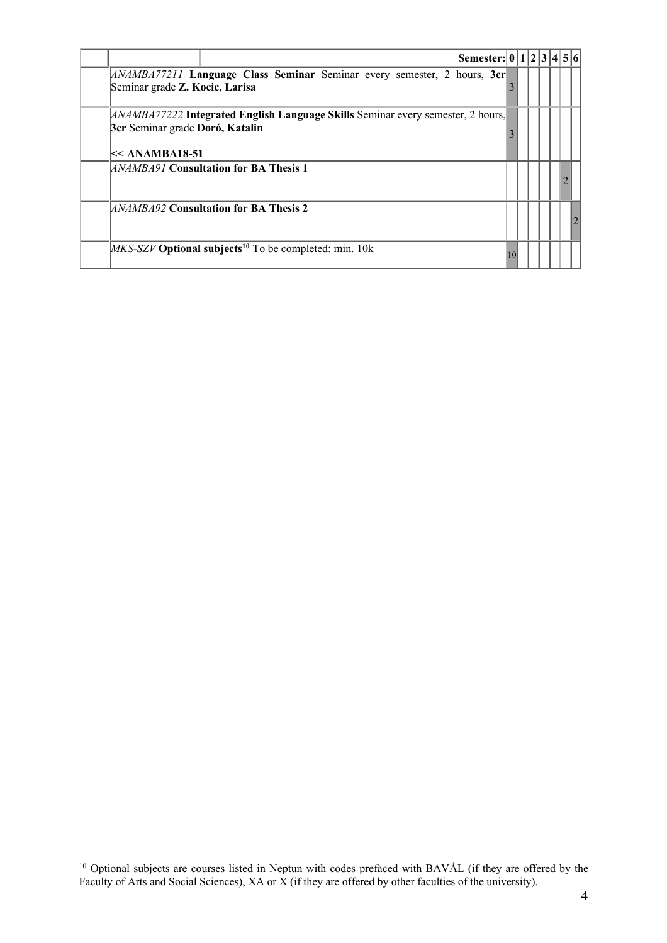| Semester: $ 0 1 2 3 4 5 6 $                                                                                                                     |    |  |  |  |
|-------------------------------------------------------------------------------------------------------------------------------------------------|----|--|--|--|
| [ANAMBA77211 Language Class Seminar Seminar every semester, 2 hours, 3cr<br>Seminar grade Z. Kocic, Larisa                                      |    |  |  |  |
| <i>ANAMBA77222</i> Integrated English Language Skills Seminar every semester, 2 hours,<br>3cr Seminar grade Doró, Katalin<br>$\lt<$ ANAMBA18-51 |    |  |  |  |
| <b>ANAMBA91 Consultation for BA Thesis 1</b>                                                                                                    |    |  |  |  |
| ANAMBA92 Consultation for BA Thesis 2                                                                                                           |    |  |  |  |
| $MKS$ -SZV <b>Optional subjects</b> <sup>10</sup> To be completed: min. 10k                                                                     | 10 |  |  |  |

<sup>&</sup>lt;sup>10</sup> Optional subjects are courses listed in Neptun with codes prefaced with BAVÁL (if they are offered by the Faculty of Arts and Social Sciences), XA or X (if they are offered by other faculties of the university).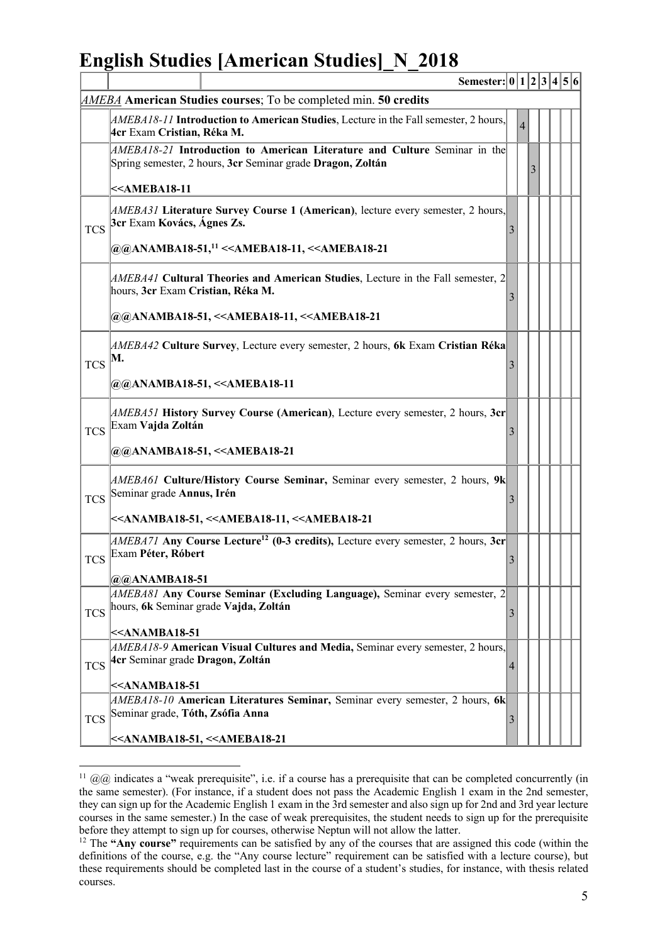# **English Studies [American Studies]\_N\_2018**

|            | Semester: $ 0 1 2 3 4 5 6 $                                                                                                             |                |   |   |  |  |
|------------|-----------------------------------------------------------------------------------------------------------------------------------------|----------------|---|---|--|--|
|            | <b>AMEBA</b> American Studies courses; To be completed min. 50 credits                                                                  |                |   |   |  |  |
|            | <i>AMEBA18-11</i> Introduction to American Studies, Lecture in the Fall semester, 2 hours,<br>4cr Exam Cristian, Réka M.                |                | 4 |   |  |  |
|            | AMEBA18-21 Introduction to American Literature and Culture Seminar in the<br>Spring semester, 2 hours, 3cr Seminar grade Dragon, Zoltán |                |   | 3 |  |  |
|            | $\leq$ AMEBA18-11                                                                                                                       |                |   |   |  |  |
| <b>TCS</b> | [AMEBA31 Literature Survey Course 1 (American), lecture every semester, 2 hours,<br>3cr Exam Kovács, Ágnes Zs.                          | 3              |   |   |  |  |
|            | @@ANAMBA18-51, <sup>11</sup> < <ameba18-11, <<ameba18-21<="" td=""><td></td><td></td><td></td><td></td><td></td></ameba18-11,>          |                |   |   |  |  |
|            | $[ADEBA41]$ Cultural Theories and American Studies, Lecture in the Fall semester, 2<br>hours, 3cr Exam Cristian, Réka M.                | 3              |   |   |  |  |
|            | @@ANAMBA18-51, < <ameba18-11, <<ameba18-21<="" td=""><td></td><td></td><td></td><td></td><td></td></ameba18-11,>                        |                |   |   |  |  |
| <b>TCS</b> | <i>AMEBA42</i> Culture Survey, Lecture every semester, 2 hours, 6k Exam Cristian Réka<br>M.                                             | 3              |   |   |  |  |
|            | @@ANAMBA18-51, < <ameba18-11< td=""><td></td><td></td><td></td><td></td><td></td></ameba18-11<>                                         |                |   |   |  |  |
| <b>TCS</b> | [AMEBA51 History Survey Course (American), Lecture every semester, 2 hours, 3cr<br>Exam Vajda Zoltán                                    | 3              |   |   |  |  |
|            | @@ANAMBA18-51, < <ameba18-21< td=""><td></td><td></td><td></td><td></td><td></td></ameba18-21<>                                         |                |   |   |  |  |
| <b>TCS</b> | <i>AMEBA61</i> Culture/History Course Seminar, Seminar every semester, 2 hours, 9k<br>Seminar grade Annus, Irén                         | 3              |   |   |  |  |
|            | < <anamba18-51, <<ameba18-11,="" <<ameba18-21<="" td=""><td></td><td></td><td></td><td></td><td></td></anamba18-51,>                    |                |   |   |  |  |
| <b>TCS</b> | <i>AMEBA71</i> Any Course Lecture <sup>12</sup> (0-3 credits), Lecture every semester, 2 hours, 3cr<br>Exam Péter, Róbert               | $\mathfrak{Z}$ |   |   |  |  |
|            | $@@A$ NAMBA18-51                                                                                                                        |                |   |   |  |  |
| <b>TCS</b> | $ AMEBA81$ Any Course Seminar (Excluding Language), Seminar every semester, 2<br>hours, 6k Seminar grade Vajda, Zoltán                  | 3              |   |   |  |  |
|            | $\leq$ ANAMBA18-51<br>$[ADEBA18-9$ American Visual Cultures and Media, Seminar every semester, 2 hours,                                 |                |   |   |  |  |
| <b>TCS</b> | 4cr Seminar grade Dragon, Zoltán                                                                                                        | 4              |   |   |  |  |
|            | $\ll$ ANAMBA18-51                                                                                                                       |                |   |   |  |  |
| <b>TCS</b> | $ AMEBA18-10$ American Literatures Seminar, Seminar every semester, 2 hours, 6k<br>Seminar grade, Tóth, Zsófia Anna                     | 3              |   |   |  |  |
|            | < <anamba18-51, <<ameba18-21<="" td=""><td></td><td></td><td></td><td></td><td></td></anamba18-51,>                                     |                |   |   |  |  |

<sup>&</sup>lt;sup>11</sup>  $(a/a)$  indicates a "weak prerequisite", i.e. if a course has a prerequisite that can be completed concurrently (in the same semester). (For instance, if a student does not pass the Academic English 1 exam in the 2nd semester, they can sign up for the Academic English 1 exam in the 3rd semester and also sign up for 2nd and 3rd year lecture courses in the same semester.) In the case of weak prerequisites, the student needs to sign up for the prerequisite

before they attempt to sign up for courses, otherwise Neptun will not allow the latter.<br><sup>12</sup> The **"Any course"** requirements can be satisfied by any of the courses that are assigned this code (within the definitions of the course, e.g. the "Any course lecture" requirement can be satisfied with a lecture course), but these requirements should be completed last in the course of a student's studies, for instance, with thesis related courses.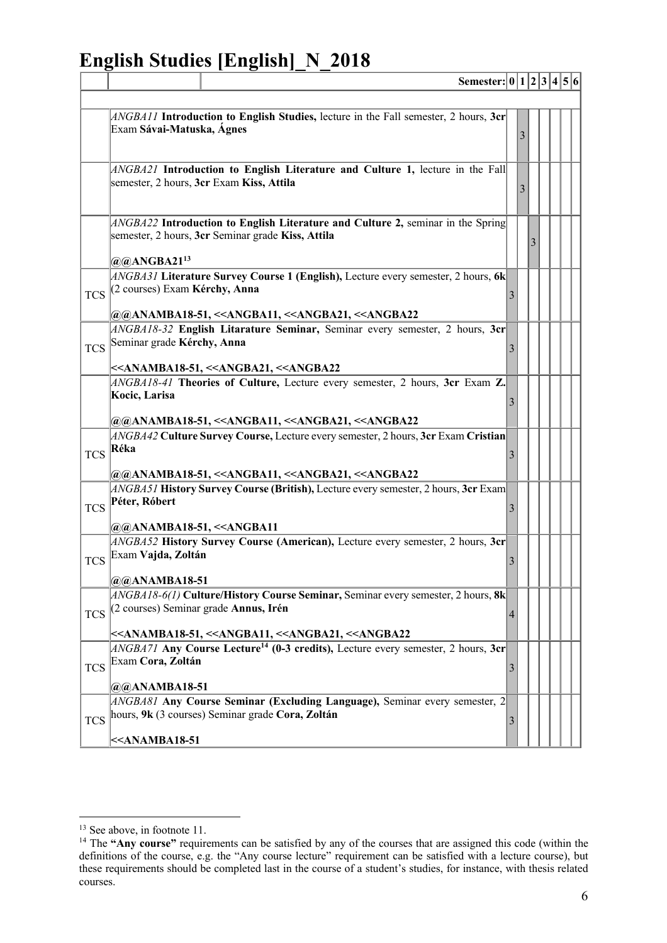# **English Studies [English]\_N\_2018**

**Semester: 0 1 2 3 4 5 6**

|            | <i>ANGBA11</i> Introduction to English Studies, lecture in the Fall semester, 2 hours, $3er$<br>Exam Sávai-Matuska, Ágnes                                                                                                                           |   | 3 |  |  |
|------------|-----------------------------------------------------------------------------------------------------------------------------------------------------------------------------------------------------------------------------------------------------|---|---|--|--|
|            | $ANSB421$ Introduction to English Literature and Culture 1, lecture in the Fall<br>semester, 2 hours, 3cr Exam Kiss, Attila                                                                                                                         |   | 3 |  |  |
|            | $ANSBA22$ Introduction to English Literature and Culture 2, seminar in the Spring<br>semester, 2 hours, 3cr Seminar grade Kiss, Attila<br>$@@AA$ NGBA21 <sup>13</sup>                                                                               |   |   |  |  |
| <b>TCS</b> | <i>ANGBA31</i> Literature Survey Course 1 (English), Lecture every semester, 2 hours, 6k<br>(2 courses) Exam Kérchy, Anna<br> @@ANAMBA18-51, < <angba11, <<angba21,="" <<angba22<="" td=""><td>3</td><td></td><td></td><td></td></angba11,>         | 3 |   |  |  |
| <b>TCS</b> | ANGBA18-32 English Litarature Seminar, Seminar every semester, 2 hours, 3cr<br>Seminar grade Kérchy, Anna<br>< <anamba18-51, <<angba21,="" <<angba22<="" td=""><td>3</td><td></td><td></td><td></td></anamba18-51,>                                 | 3 |   |  |  |
|            | $[ANSBAI8-41]$ Theories of Culture, Lecture every semester, 2 hours, 3cr Exam Z.<br>Kocic, Larisa<br>@@ANAMBA18-51, < <angba11, <<angba21,="" <<angba22<="" td=""><td>3</td><td></td><td></td><td></td></angba11,>                                  | 3 |   |  |  |
| <b>TCS</b> | <i>ANGBA42</i> Culture Survey Course, Lecture every semester, 2 hours, 3cr Exam Cristian<br>Réka<br>@@ANAMBA18-51, < <angba11, <<angba21,="" <<angba22<="" td=""><td>3</td><td></td><td></td><td></td></angba11,>                                   | 3 |   |  |  |
| <b>TCS</b> | $[ANSB451$ History Survey Course (British), Lecture every semester, 2 hours, 3cr Exam<br>Péter, Róbert<br>@@ANAMBA18-51, < <angba11< td=""><td>3</td><td></td><td></td><td></td></angba11<>                                                         | 3 |   |  |  |
| <b>TCS</b> | $[ANSBAS2$ History Survey Course (American), Lecture every semester, 2 hours, 3cr<br>Exam Vajda, Zoltán<br>@@ANAMBA18-51                                                                                                                            | 3 |   |  |  |
| <b>TCS</b> | $ANGBA18-6(1)$ Culture/History Course Seminar, Seminar every semester, 2 hours, 8k<br>(2 courses) Seminar grade Annus, Irén<br>< <anamba18-51, <<angba11,="" <<angba21,="" <<angba22<="" td=""><td>4</td><td></td><td></td><td></td></anamba18-51,> | 4 |   |  |  |
| <b>TCS</b> | $ ANSBA71$ Any Course Lecture <sup>14</sup> (0-3 credits), Lecture every semester, 2 hours, 3cr<br>Exam Cora, Zoltán<br>$@@AA$ NAMBA18-51                                                                                                           | 3 |   |  |  |
| <b>TCS</b> | $ANSBAS1$ Any Course Seminar (Excluding Language), Seminar every semester, 2<br>hours, 9k (3 courses) Seminar grade Cora, Zoltán<br>$<$                                                                                                             | 3 |   |  |  |
|            |                                                                                                                                                                                                                                                     |   |   |  |  |

<sup>&</sup>lt;sup>13</sup> See above, in footnote 11.

<sup>14</sup> The **"Any course"** requirements can be satisfied by any of the courses that are assigned this code (within the definitions of the course, e.g. the "Any course lecture" requirement can be satisfied with a lecture course), but these requirements should be completed last in the course of a student's studies, for instance, with thesis related courses.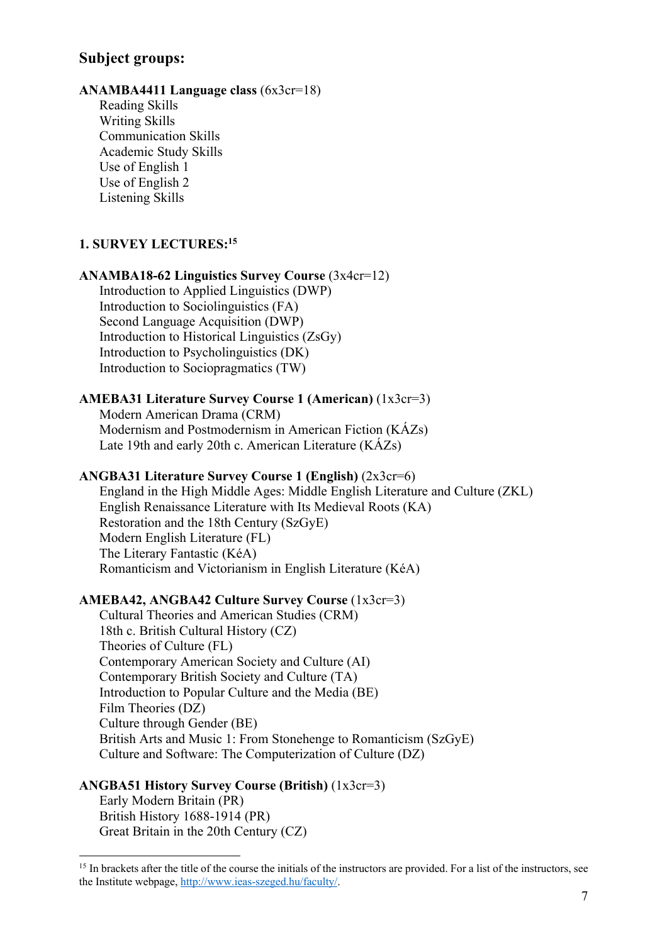## **Subject groups:**

#### **ANAMBA4411 Language class** (6x3cr=18)

Reading Skills Writing Skills Communication Skills Academic Study Skills Use of English 1 Use of English 2 Listening Skills

#### **1. SURVEY LECTURES: 15**

## **ANAMBA18-62 Linguistics Survey Course** (3x4cr=12)

Introduction to Applied Linguistics (DWP) Introduction to Sociolinguistics (FA) Second Language Acquisition (DWP) Introduction to Historical Linguistics (ZsGy) Introduction to Psycholinguistics (DK) Introduction to Sociopragmatics (TW)

## **AMEBA31 Literature Survey Course 1 (American)** (1x3cr=3)

Modern American Drama (CRM) Modernism and Postmodernism in American Fiction (KÁZs) Late 19th and early 20th c. American Literature (KÁZs)

#### **ANGBA31 Literature Survey Course 1 (English)** (2x3cr=6)

England in the High Middle Ages: Middle English Literature and Culture (ZKL) English Renaissance Literature with Its Medieval Roots (KA) Restoration and the 18th Century (SzGyE) Modern English Literature (FL) The Literary Fantastic (KéA) Romanticism and Victorianism in English Literature (KéA)

## **AMEBA42, ANGBA42 Culture Survey Course** (1x3cr=3)

Cultural Theories and American Studies (CRM) 18th c. British Cultural History (CZ) Theories of Culture (FL) Contemporary American Society and Culture (AI) Contemporary British Society and Culture (TA) Introduction to Popular Culture and the Media (BE) Film Theories (DZ) Culture through Gender (BE) British Arts and Music 1: From Stonehenge to Romanticism (SzGyE) Culture and Software: The Computerization of Culture (DZ)

#### **ANGBA51 History Survey Course (British)** (1x3cr=3)

Early Modern Britain (PR) British History 1688-1914 (PR) Great Britain in the 20th Century (CZ)

<sup>&</sup>lt;sup>15</sup> In brackets after the title of the course the initials of the instructors are provided. For a list of the instructors, see the Institute webpage, http://www.ieas-szeged.hu/faculty/.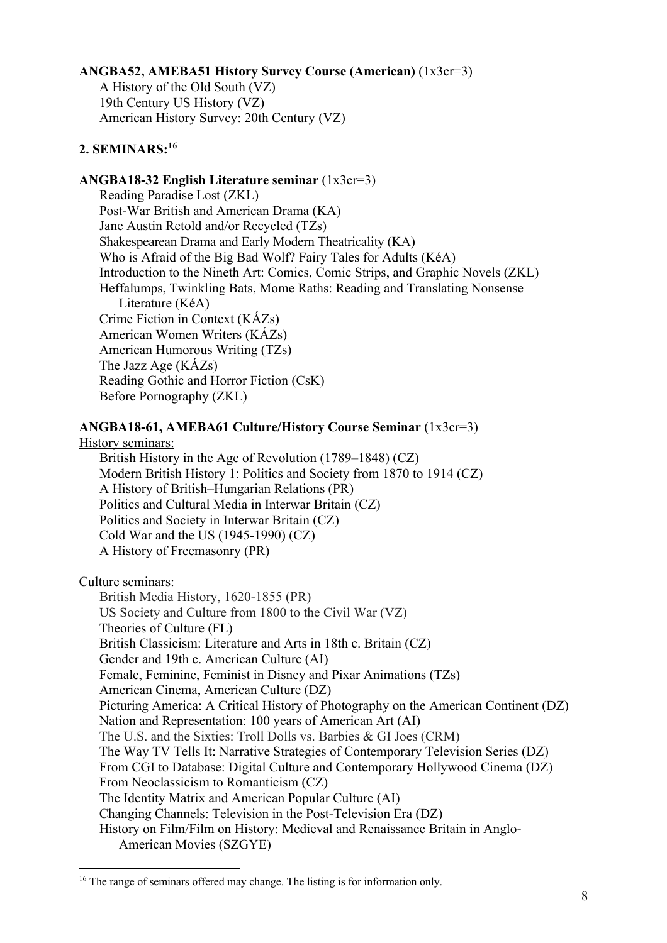## **ANGBA52, AMEBA51 History Survey Course (American)** (1x3cr=3)

A History of the Old South (VZ) 19th Century US History (VZ) American History Survey: 20th Century (VZ)

## **2. SEMINARS:16**

### **ANGBA18-32 English Literature seminar** (1x3cr=3)

Reading Paradise Lost (ZKL) Post-War British and American Drama (KA) Jane Austin Retold and/or Recycled (TZs) Shakespearean Drama and Early Modern Theatricality (KA) Who is Afraid of the Big Bad Wolf? Fairy Tales for Adults (KéA) Introduction to the Nineth Art: Comics, Comic Strips, and Graphic Novels (ZKL) Heffalumps, Twinkling Bats, Mome Raths: Reading and Translating Nonsense Literature (KéA) Crime Fiction in Context (KÁZs) American Women Writers (KÁZs) American Humorous Writing (TZs) The Jazz Age (KÁZs) Reading Gothic and Horror Fiction (CsK) Before Pornography (ZKL)

## **ANGBA18-61, AMEBA61 Culture/History Course Seminar** (1x3cr=3)

History seminars:

British History in the Age of Revolution (1789–1848) (CZ) Modern British History 1: Politics and Society from 1870 to 1914 (CZ) A History of British–Hungarian Relations (PR) Politics and Cultural Media in Interwar Britain (CZ) Politics and Society in Interwar Britain (CZ) Cold War and the US (1945-1990) (CZ) A History of Freemasonry (PR)

Culture seminars:

British Media History, 1620-1855 (PR) US Society and Culture from 1800 to the Civil War (VZ) Theories of Culture (FL) British Classicism: Literature and Arts in 18th c. Britain (CZ) Gender and 19th c. American Culture (AI) Female, Feminine, Feminist in Disney and Pixar Animations (TZs) American Cinema, American Culture (DZ) Picturing America: A Critical History of Photography on the American Continent (DZ) Nation and Representation: 100 years of American Art (AI) The U.S. and the Sixties: Troll Dolls vs. Barbies & GI Joes (CRM) The Way TV Tells It: Narrative Strategies of Contemporary Television Series (DZ) From CGI to Database: Digital Culture and Contemporary Hollywood Cinema (DZ) From Neoclassicism to Romanticism (CZ) The Identity Matrix and American Popular Culture (AI) Changing Channels: Television in the Post-Television Era (DZ) History on Film/Film on History: Medieval and Renaissance Britain in Anglo-American Movies (SZGYE)

<sup>&</sup>lt;sup>16</sup> The range of seminars offered may change. The listing is for information only.